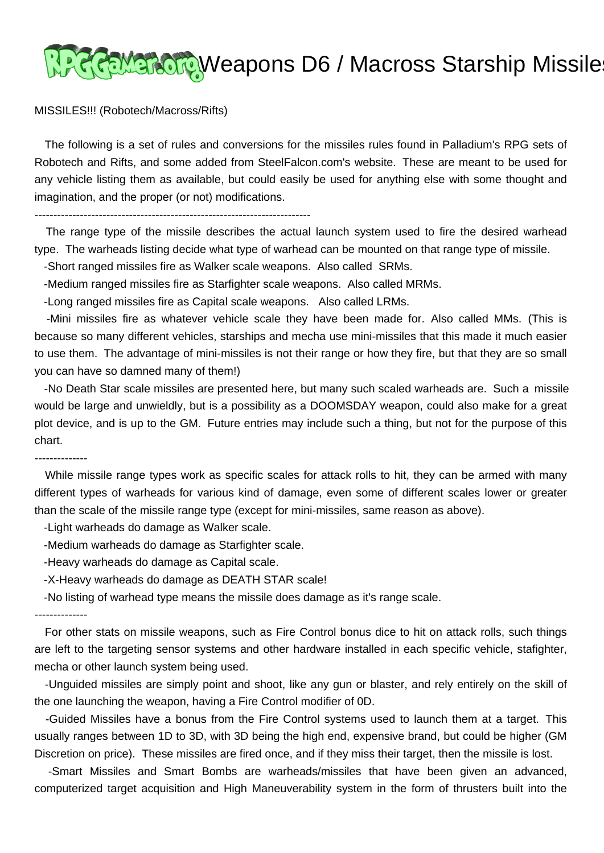## <u> १२२६ Marton</u> Weapons D6 / Macross Starship Missile

## MISSILES!!! (Robotech/Macross/Rifts)

 The following is a set of rules and conversions for the missiles rules found in Palladium's RPG sets of Robotech and Rifts, and some added from SteelFalcon.com's website. These are meant to be used for any vehicle listing them as available, but could easily be used for anything else with some thought and imagination, and the proper (or not) modifications.

-------------------------------------------------------------------------

 The range type of the missile describes the actual launch system used to fire the desired warhead type. The warheads listing decide what type of warhead can be mounted on that range type of missile.

-Short ranged missiles fire as Walker scale weapons. Also called SRMs.

-Medium ranged missiles fire as Starfighter scale weapons. Also called MRMs.

-Long ranged missiles fire as Capital scale weapons. Also called LRMs.

 -Mini missiles fire as whatever vehicle scale they have been made for. Also called MMs. (This is because so many different vehicles, starships and mecha use mini-missiles that this made it much easier to use them. The advantage of mini-missiles is not their range or how they fire, but that they are so small you can have so damned many of them!)

 -No Death Star scale missiles are presented here, but many such scaled warheads are. Such a missile would be large and unwieldly, but is a possibility as a DOOMSDAY weapon, could also make for a great plot device, and is up to the GM. Future entries may include such a thing, but not for the purpose of this chart.

## --------------

 While missile range types work as specific scales for attack rolls to hit, they can be armed with many different types of warheads for various kind of damage, even some of different scales lower or greater than the scale of the missile range type (except for mini-missiles, same reason as above).

-Light warheads do damage as Walker scale.

- -Medium warheads do damage as Starfighter scale.
- -Heavy warheads do damage as Capital scale.
- -X-Heavy warheads do damage as DEATH STAR scale!

-No listing of warhead type means the missile does damage as it's range scale.

## --------------

 For other stats on missile weapons, such as Fire Control bonus dice to hit on attack rolls, such things are left to the targeting sensor systems and other hardware installed in each specific vehicle, stafighter, mecha or other launch system being used.

 -Unguided missiles are simply point and shoot, like any gun or blaster, and rely entirely on the skill of the one launching the weapon, having a Fire Control modifier of 0D.

 -Guided Missiles have a bonus from the Fire Control systems used to launch them at a target. This usually ranges between 1D to 3D, with 3D being the high end, expensive brand, but could be higher (GM Discretion on price). These missiles are fired once, and if they miss their target, then the missile is lost.

 -Smart Missiles and Smart Bombs are warheads/missiles that have been given an advanced, computerized target acquisition and High Maneuverability system in the form of thrusters built into the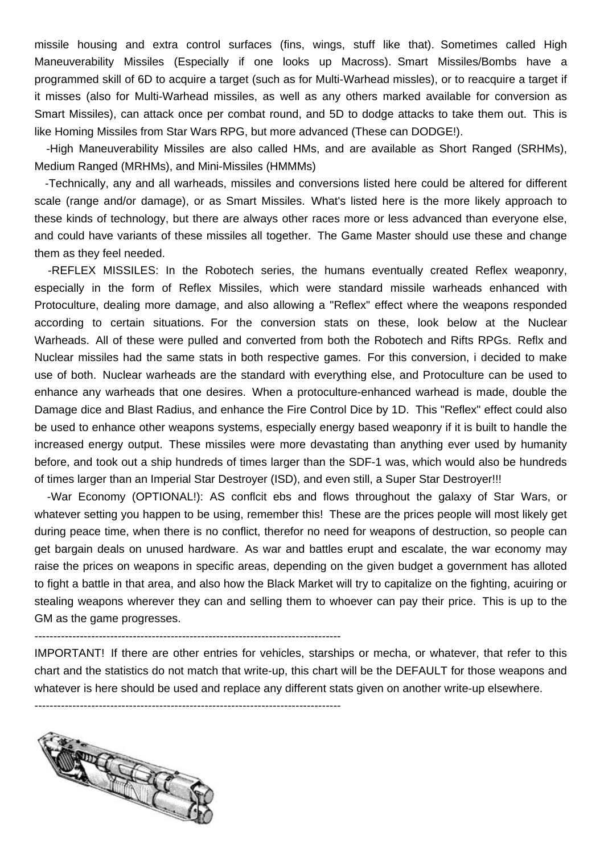missile housing and extra control surfaces (fins, wings, stuff like that). Sometimes called High Maneuverability Missiles (Especially if one looks up Macross). Smart Missiles/Bombs have a programmed skill of 6D to acquire a target (such as for Multi-Warhead missles), or to reacquire a target if it misses (also for Multi-Warhead missiles, as well as any others marked available for conversion as Smart Missiles), can attack once per combat round, and 5D to dodge attacks to take them out. This is like Homing Missiles from Star Wars RPG, but more advanced (These can DODGE!).

 -High Maneuverability Missiles are also called HMs, and are available as Short Ranged (SRHMs), Medium Ranged (MRHMs), and Mini-Missiles (HMMMs)

 -Technically, any and all warheads, missiles and conversions listed here could be altered for different scale (range and/or damage), or as Smart Missiles. What's listed here is the more likely approach to these kinds of technology, but there are always other races more or less advanced than everyone else, and could have variants of these missiles all together. The Game Master should use these and change them as they feel needed.

 -REFLEX MISSILES: In the Robotech series, the humans eventually created Reflex weaponry, especially in the form of Reflex Missiles, which were standard missile warheads enhanced with Protoculture, dealing more damage, and also allowing a "Reflex" effect where the weapons responded according to certain situations. For the conversion stats on these, look below at the Nuclear Warheads. All of these were pulled and converted from both the Robotech and Rifts RPGs. Reflx and Nuclear missiles had the same stats in both respective games. For this conversion, i decided to make use of both. Nuclear warheads are the standard with everything else, and Protoculture can be used to enhance any warheads that one desires. When a protoculture-enhanced warhead is made, double the Damage dice and Blast Radius, and enhance the Fire Control Dice by 1D. This "Reflex" effect could also be used to enhance other weapons systems, especially energy based weaponry if it is built to handle the increased energy output. These missiles were more devastating than anything ever used by humanity before, and took out a ship hundreds of times larger than the SDF-1 was, which would also be hundreds of times larger than an Imperial Star Destroyer (ISD), and even still, a Super Star Destroyer!!!

 -War Economy (OPTIONAL!): AS conflcit ebs and flows throughout the galaxy of Star Wars, or whatever setting you happen to be using, remember this! These are the prices people will most likely get during peace time, when there is no conflict, therefor no need for weapons of destruction, so people can get bargain deals on unused hardware. As war and battles erupt and escalate, the war economy may raise the prices on weapons in specific areas, depending on the given budget a government has alloted to fight a battle in that area, and also how the Black Market will try to capitalize on the fighting, acuiring or stealing weapons wherever they can and selling them to whoever can pay their price. This is up to the GM as the game progresses.

---------------------------------------------------------------------------------

IMPORTANT! If there are other entries for vehicles, starships or mecha, or whatever, that refer to this chart and the statistics do not match that write-up, this chart will be the DEFAULT for those weapons and whatever is here should be used and replace any different stats given on another write-up elsewhere.

---------------------------------------------------------------------------------

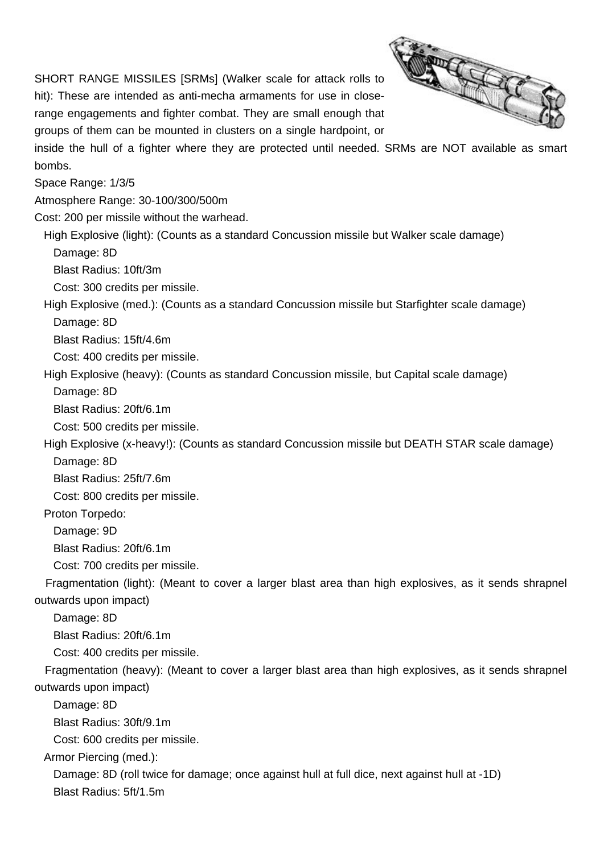SHORT RANGE MISSILES [SRMs] (Walker scale for attack rolls to hit): These are intended as anti-mecha armaments for use in closerange engagements and fighter combat. They are small enough that groups of them can be mounted in clusters on a single hardpoint, or



inside the hull of a fighter where they are protected until needed. SRMs are NOT available as smart bombs.

Space Range: 1/3/5

Atmosphere Range: 30-100/300/500m

Cost: 200 per missile without the warhead.

 High Explosive (light): (Counts as a standard Concussion missile but Walker scale damage) Damage: 8D

Blast Radius: 10ft/3m

Cost: 300 credits per missile.

High Explosive (med.): (Counts as a standard Concussion missile but Starfighter scale damage)

Damage: 8D

Blast Radius: 15ft/4.6m

Cost: 400 credits per missile.

High Explosive (heavy): (Counts as standard Concussion missile, but Capital scale damage)

Damage: 8D

Blast Radius: 20ft/6.1m

Cost: 500 credits per missile.

High Explosive (x-heavy!): (Counts as standard Concussion missile but DEATH STAR scale damage)

Damage: 8D

Blast Radius: 25ft/7.6m

Cost: 800 credits per missile.

Proton Torpedo:

Damage: 9D

Blast Radius: 20ft/6.1m

Cost: 700 credits per missile.

 Fragmentation (light): (Meant to cover a larger blast area than high explosives, as it sends shrapnel outwards upon impact)

Damage: 8D

Blast Radius: 20ft/6.1m

Cost: 400 credits per missile.

 Fragmentation (heavy): (Meant to cover a larger blast area than high explosives, as it sends shrapnel outwards upon impact)

Damage: 8D

Blast Radius: 30ft/9.1m

Cost: 600 credits per missile.

Armor Piercing (med.):

 Damage: 8D (roll twice for damage; once against hull at full dice, next against hull at -1D) Blast Radius: 5ft/1.5m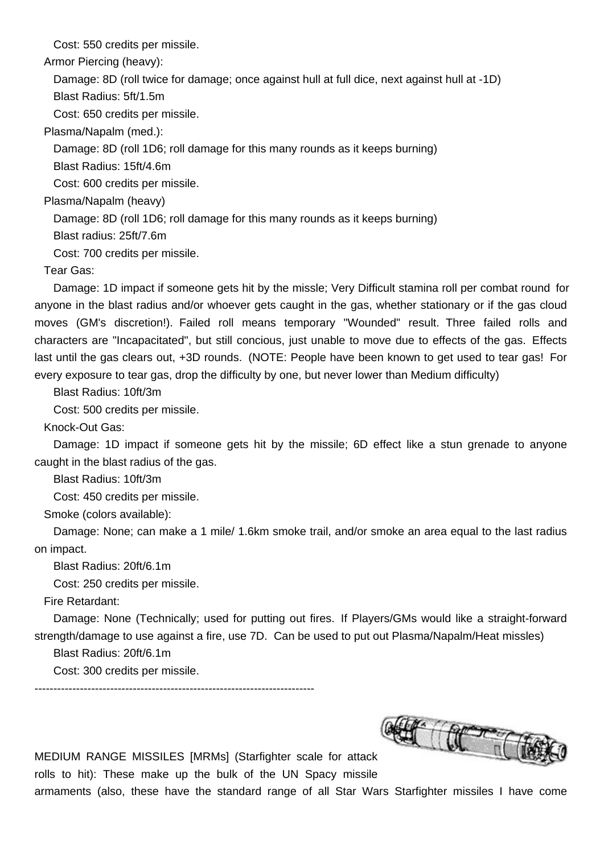Cost: 550 credits per missile.

Armor Piercing (heavy):

Damage: 8D (roll twice for damage; once against hull at full dice, next against hull at -1D)

Blast Radius: 5ft/1.5m

Cost: 650 credits per missile.

Plasma/Napalm (med.):

Damage: 8D (roll 1D6; roll damage for this many rounds as it keeps burning)

Blast Radius: 15ft/4.6m

Cost: 600 credits per missile.

Plasma/Napalm (heavy)

Damage: 8D (roll 1D6; roll damage for this many rounds as it keeps burning)

Blast radius: 25ft/7.6m

Cost: 700 credits per missile.

Tear Gas:

 Damage: 1D impact if someone gets hit by the missle; Very Difficult stamina roll per combat round for anyone in the blast radius and/or whoever gets caught in the gas, whether stationary or if the gas cloud moves (GM's discretion!). Failed roll means temporary "Wounded" result. Three failed rolls and characters are "Incapacitated", but still concious, just unable to move due to effects of the gas. Effects last until the gas clears out, +3D rounds. (NOTE: People have been known to get used to tear gas! For every exposure to tear gas, drop the difficulty by one, but never lower than Medium difficulty)

Blast Radius: 10ft/3m

Cost: 500 credits per missile.

Knock-Out Gas:

 Damage: 1D impact if someone gets hit by the missile; 6D effect like a stun grenade to anyone caught in the blast radius of the gas.

Blast Radius: 10ft/3m

Cost: 450 credits per missile.

Smoke (colors available):

 Damage: None; can make a 1 mile/ 1.6km smoke trail, and/or smoke an area equal to the last radius on impact.

Blast Radius: 20ft/6.1m

Cost: 250 credits per missile.

Fire Retardant:

 Damage: None (Technically; used for putting out fires. If Players/GMs would like a straight-forward strength/damage to use against a fire, use 7D. Can be used to put out Plasma/Napalm/Heat missles)

Blast Radius: 20ft/6.1m

Cost: 300 credits per missile.

--------------------------------------------------------------------------

MEDIUM RANGE MISSILES [MRMs] (Starfighter scale for attack rolls to hit): These make up the bulk of the UN Spacy missile



armaments (also, these have the standard range of all Star Wars Starfighter missiles I have come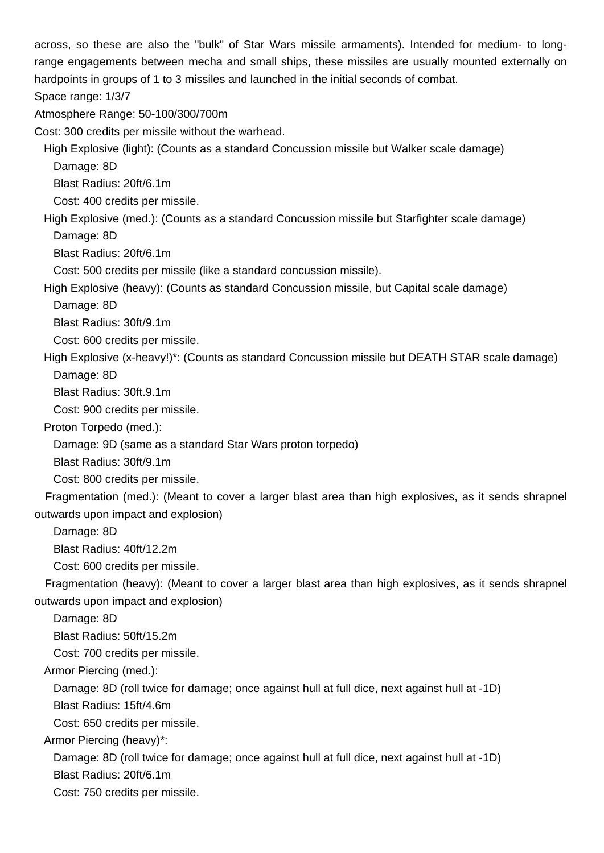across, so these are also the "bulk" of Star Wars missile armaments). Intended for medium- to longrange engagements between mecha and small ships, these missiles are usually mounted externally on hardpoints in groups of 1 to 3 missiles and launched in the initial seconds of combat. Space range: 1/3/7

Atmosphere Range: 50-100/300/700m

Cost: 300 credits per missile without the warhead.

 High Explosive (light): (Counts as a standard Concussion missile but Walker scale damage) Damage: 8D

Blast Radius: 20ft/6.1m

Cost: 400 credits per missile.

 High Explosive (med.): (Counts as a standard Concussion missile but Starfighter scale damage) Damage: 8D

Blast Radius: 20ft/6.1m

Cost: 500 credits per missile (like a standard concussion missile).

High Explosive (heavy): (Counts as standard Concussion missile, but Capital scale damage)

Damage: 8D

Blast Radius: 30ft/9.1m

Cost: 600 credits per missile.

High Explosive (x-heavy!)\*: (Counts as standard Concussion missile but DEATH STAR scale damage)

Damage: 8D

Blast Radius: 30ft.9.1m

Cost: 900 credits per missile.

Proton Torpedo (med.):

Damage: 9D (same as a standard Star Wars proton torpedo)

Blast Radius: 30ft/9.1m

Cost: 800 credits per missile.

 Fragmentation (med.): (Meant to cover a larger blast area than high explosives, as it sends shrapnel outwards upon impact and explosion)

Damage: 8D

Blast Radius: 40ft/12.2m

Cost: 600 credits per missile.

 Fragmentation (heavy): (Meant to cover a larger blast area than high explosives, as it sends shrapnel outwards upon impact and explosion)

Damage: 8D

Blast Radius: 50ft/15.2m

Cost: 700 credits per missile.

Armor Piercing (med.):

Damage: 8D (roll twice for damage; once against hull at full dice, next against hull at -1D)

Blast Radius: 15ft/4.6m

Cost: 650 credits per missile.

Armor Piercing (heavy)\*:

Damage: 8D (roll twice for damage; once against hull at full dice, next against hull at -1D)

Blast Radius: 20ft/6.1m

Cost: 750 credits per missile.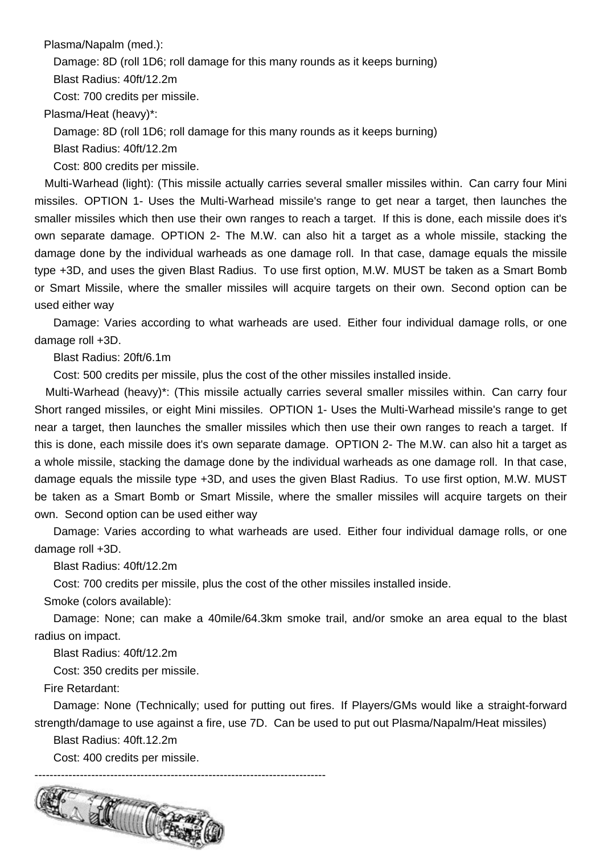Plasma/Napalm (med.):

Damage: 8D (roll 1D6; roll damage for this many rounds as it keeps burning)

Blast Radius: 40ft/12.2m

Cost: 700 credits per missile.

Plasma/Heat (heavy)\*:

Damage: 8D (roll 1D6; roll damage for this many rounds as it keeps burning)

Blast Radius: 40ft/12.2m

Cost: 800 credits per missile.

 Multi-Warhead (light): (This missile actually carries several smaller missiles within. Can carry four Mini missiles. OPTION 1- Uses the Multi-Warhead missile's range to get near a target, then launches the smaller missiles which then use their own ranges to reach a target. If this is done, each missile does it's own separate damage. OPTION 2- The M.W. can also hit a target as a whole missile, stacking the damage done by the individual warheads as one damage roll. In that case, damage equals the missile type +3D, and uses the given Blast Radius. To use first option, M.W. MUST be taken as a Smart Bomb or Smart Missile, where the smaller missiles will acquire targets on their own. Second option can be used either way

 Damage: Varies according to what warheads are used. Either four individual damage rolls, or one damage roll +3D.

Blast Radius: 20ft/6.1m

Cost: 500 credits per missile, plus the cost of the other missiles installed inside.

 Multi-Warhead (heavy)\*: (This missile actually carries several smaller missiles within. Can carry four Short ranged missiles, or eight Mini missiles. OPTION 1- Uses the Multi-Warhead missile's range to get near a target, then launches the smaller missiles which then use their own ranges to reach a target. If this is done, each missile does it's own separate damage. OPTION 2- The M.W. can also hit a target as a whole missile, stacking the damage done by the individual warheads as one damage roll. In that case, damage equals the missile type +3D, and uses the given Blast Radius. To use first option, M.W. MUST be taken as a Smart Bomb or Smart Missile, where the smaller missiles will acquire targets on their own. Second option can be used either way

 Damage: Varies according to what warheads are used. Either four individual damage rolls, or one damage roll +3D.

Blast Radius: 40ft/12.2m

Cost: 700 credits per missile, plus the cost of the other missiles installed inside.

Smoke (colors available):

 Damage: None; can make a 40mile/64.3km smoke trail, and/or smoke an area equal to the blast radius on impact.

Blast Radius: 40ft/12.2m

Cost: 350 credits per missile.

Fire Retardant:

 Damage: None (Technically; used for putting out fires. If Players/GMs would like a straight-forward strength/damage to use against a fire, use 7D. Can be used to put out Plasma/Napalm/Heat missiles)

Blast Radius: 40ft.12.2m

Cost: 400 credits per missile.

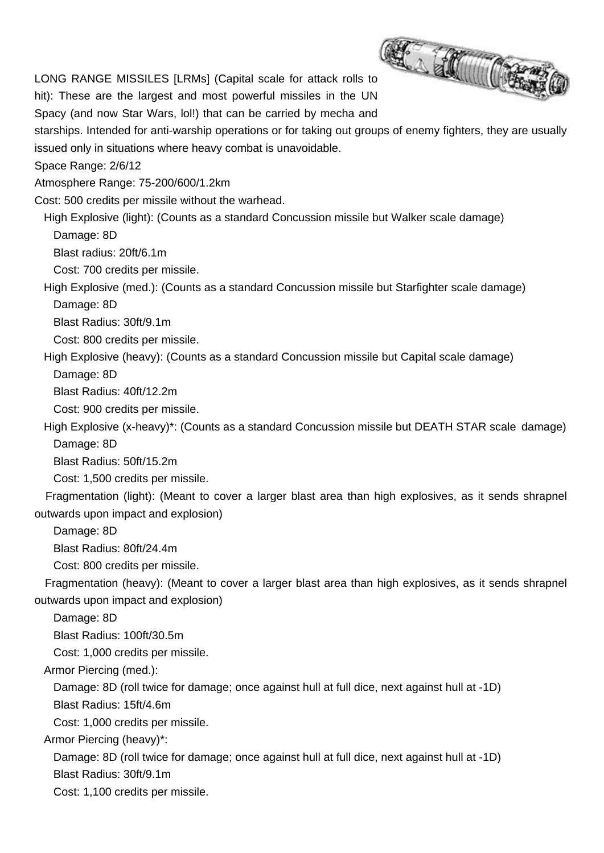LONG RANGE MISSILES [LRMs] (Capital scale for attack rolls to hit): These are the largest and most powerful missiles in the UN Spacy (and now Star Wars, lol!) that can be carried by mecha and

starships. Intended for anti-warship operations or for taking out groups of enemy fighters, they are usually issued only in situations where heavy combat is unavoidable.

Space Range: 2/6/12

Atmosphere Range: 75-200/600/1.2km

Cost: 500 credits per missile without the warhead.

 High Explosive (light): (Counts as a standard Concussion missile but Walker scale damage) Damage: 8D

Blast radius: 20ft/6.1m

Cost: 700 credits per missile.

 High Explosive (med.): (Counts as a standard Concussion missile but Starfighter scale damage) Damage: 8D

Blast Radius: 30ft/9.1m

Cost: 800 credits per missile.

High Explosive (heavy): (Counts as a standard Concussion missile but Capital scale damage)

Damage: 8D

Blast Radius: 40ft/12.2m

Cost: 900 credits per missile.

 High Explosive (x-heavy)\*: (Counts as a standard Concussion missile but DEATH STAR scale damage) Damage: 8D

Blast Radius: 50ft/15.2m

Cost: 1,500 credits per missile.

 Fragmentation (light): (Meant to cover a larger blast area than high explosives, as it sends shrapnel outwards upon impact and explosion)

Damage: 8D

Blast Radius: 80ft/24.4m

Cost: 800 credits per missile.

 Fragmentation (heavy): (Meant to cover a larger blast area than high explosives, as it sends shrapnel outwards upon impact and explosion)

Damage: 8D

Blast Radius: 100ft/30.5m

Cost: 1,000 credits per missile.

Armor Piercing (med.):

Damage: 8D (roll twice for damage; once against hull at full dice, next against hull at -1D)

Blast Radius: 15ft/4.6m

Cost: 1,000 credits per missile.

Armor Piercing (heavy)\*:

Damage: 8D (roll twice for damage; once against hull at full dice, next against hull at -1D)

Blast Radius: 30ft/9.1m

Cost: 1,100 credits per missile.

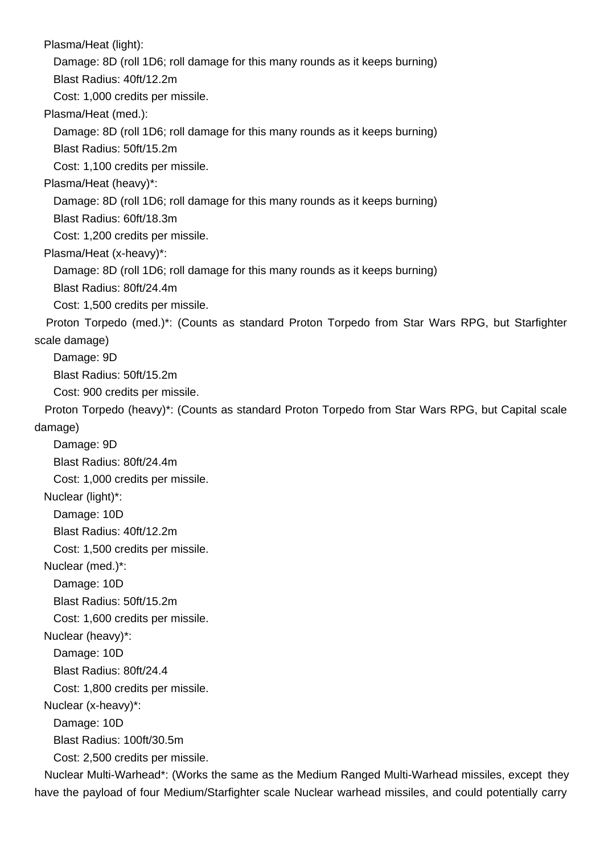Plasma/Heat (light):

Damage: 8D (roll 1D6; roll damage for this many rounds as it keeps burning)

Blast Radius: 40ft/12.2m

Cost: 1,000 credits per missile.

Plasma/Heat (med.):

Damage: 8D (roll 1D6; roll damage for this many rounds as it keeps burning)

Blast Radius: 50ft/15.2m

Cost: 1,100 credits per missile.

Plasma/Heat (heavy)\*:

Damage: 8D (roll 1D6; roll damage for this many rounds as it keeps burning)

Blast Radius: 60ft/18.3m

Cost: 1,200 credits per missile.

Plasma/Heat (x-heavy)\*:

Damage: 8D (roll 1D6; roll damage for this many rounds as it keeps burning)

Blast Radius: 80ft/24.4m

Cost: 1,500 credits per missile.

 Proton Torpedo (med.)\*: (Counts as standard Proton Torpedo from Star Wars RPG, but Starfighter scale damage)

Damage: 9D

Blast Radius: 50ft/15.2m

Cost: 900 credits per missile.

 Proton Torpedo (heavy)\*: (Counts as standard Proton Torpedo from Star Wars RPG, but Capital scale damage)

Damage: 9D

Blast Radius: 80ft/24.4m

Cost: 1,000 credits per missile.

Nuclear (light)\*:

Damage: 10D

Blast Radius: 40ft/12.2m

Cost: 1,500 credits per missile.

Nuclear (med.)\*:

Damage: 10D

Blast Radius: 50ft/15.2m

Cost: 1,600 credits per missile.

Nuclear (heavy)\*:

Damage: 10D

Blast Radius: 80ft/24.4

Cost: 1,800 credits per missile.

Nuclear (x-heavy)\*:

Damage: 10D

Blast Radius: 100ft/30.5m

Cost: 2,500 credits per missile.

 Nuclear Multi-Warhead\*: (Works the same as the Medium Ranged Multi-Warhead missiles, except they have the payload of four Medium/Starfighter scale Nuclear warhead missiles, and could potentially carry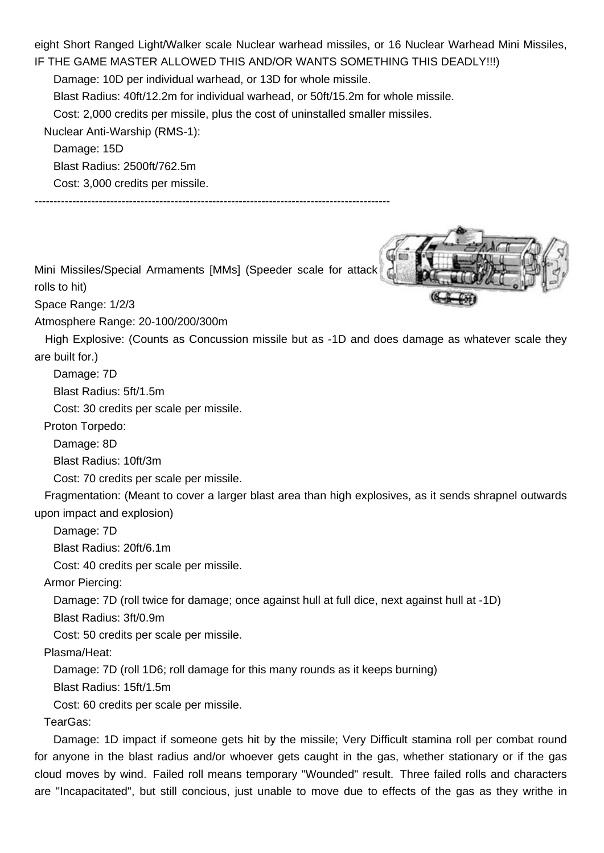eight Short Ranged Light/Walker scale Nuclear warhead missiles, or 16 Nuclear Warhead Mini Missiles, IF THE GAME MASTER ALLOWED THIS AND/OR WANTS SOMETHING THIS DEADLY!!!)

Damage: 10D per individual warhead, or 13D for whole missile.

Blast Radius: 40ft/12.2m for individual warhead, or 50ft/15.2m for whole missile.

Cost: 2,000 credits per missile, plus the cost of uninstalled smaller missiles.

Nuclear Anti-Warship (RMS-1):

Damage: 15D

Blast Radius: 2500ft/762.5m

Cost: 3,000 credits per missile.

----------------------------------------------------------------------------------------------

Mini Missiles/Special Armaments [MMs] (Speeder scale for attack

rolls to hit)

Space Range: 1/2/3

Atmosphere Range: 20-100/200/300m

 High Explosive: (Counts as Concussion missile but as -1D and does damage as whatever scale they are built for.)

Damage: 7D

Blast Radius: 5ft/1.5m

Cost: 30 credits per scale per missile.

Proton Torpedo:

Damage: 8D

Blast Radius: 10ft/3m

Cost: 70 credits per scale per missile.

 Fragmentation: (Meant to cover a larger blast area than high explosives, as it sends shrapnel outwards upon impact and explosion)

Damage: 7D

Blast Radius: 20ft/6.1m

Cost: 40 credits per scale per missile.

Armor Piercing:

Damage: 7D (roll twice for damage; once against hull at full dice, next against hull at -1D)

Blast Radius: 3ft/0.9m

Cost: 50 credits per scale per missile.

Plasma/Heat:

Damage: 7D (roll 1D6; roll damage for this many rounds as it keeps burning)

Blast Radius: 15ft/1.5m

Cost: 60 credits per scale per missile.

TearGas:

 Damage: 1D impact if someone gets hit by the missile; Very Difficult stamina roll per combat round for anyone in the blast radius and/or whoever gets caught in the gas, whether stationary or if the gas cloud moves by wind. Failed roll means temporary "Wounded" result. Three failed rolls and characters are "Incapacitated", but still concious, just unable to move due to effects of the gas as they writhe in

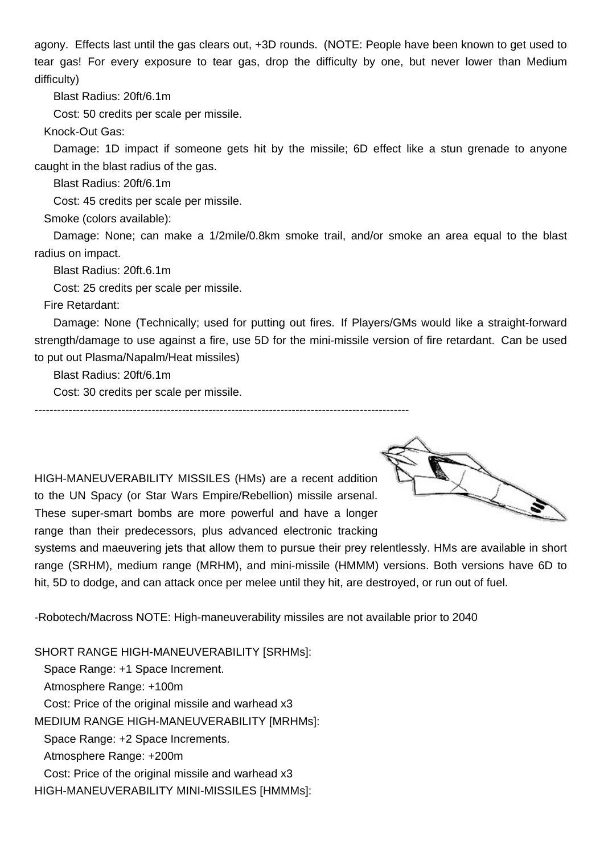agony. Effects last until the gas clears out, +3D rounds. (NOTE: People have been known to get used to tear gas! For every exposure to tear gas, drop the difficulty by one, but never lower than Medium difficulty)

Blast Radius: 20ft/6.1m

Cost: 50 credits per scale per missile.

Knock-Out Gas:

 Damage: 1D impact if someone gets hit by the missile; 6D effect like a stun grenade to anyone caught in the blast radius of the gas.

Blast Radius: 20ft/6.1m

Cost: 45 credits per scale per missile.

Smoke (colors available):

 Damage: None; can make a 1/2mile/0.8km smoke trail, and/or smoke an area equal to the blast radius on impact.

Blast Radius: 20ft.6.1m

Cost: 25 credits per scale per missile.

Fire Retardant:

 Damage: None (Technically; used for putting out fires. If Players/GMs would like a straight-forward strength/damage to use against a fire, use 5D for the mini-missile version of fire retardant. Can be used to put out Plasma/Napalm/Heat missiles)

Blast Radius: 20ft/6.1m

Cost: 30 credits per scale per missile.

---------------------------------------------------------------------------------------------------

HIGH-MANEUVERABILITY MISSILES (HMs) are a recent addition to the UN Spacy (or Star Wars Empire/Rebellion) missile arsenal. These super-smart bombs are more powerful and have a longer range than their predecessors, plus advanced electronic tracking



systems and maeuvering jets that allow them to pursue their prey relentlessly. HMs are available in short range (SRHM), medium range (MRHM), and mini-missile (HMMM) versions. Both versions have 6D to hit, 5D to dodge, and can attack once per melee until they hit, are destroyed, or run out of fuel.

-Robotech/Macross NOTE: High-maneuverability missiles are not available prior to 2040

SHORT RANGE HIGH-MANEUVERABILITY [SRHMs]: Space Range: +1 Space Increment. Atmosphere Range: +100m Cost: Price of the original missile and warhead x3 MEDIUM RANGE HIGH-MANEUVERABILITY [MRHMs]: Space Range: +2 Space Increments. Atmosphere Range: +200m Cost: Price of the original missile and warhead x3 HIGH-MANEUVERABILITY MINI-MISSILES [HMMMs]: